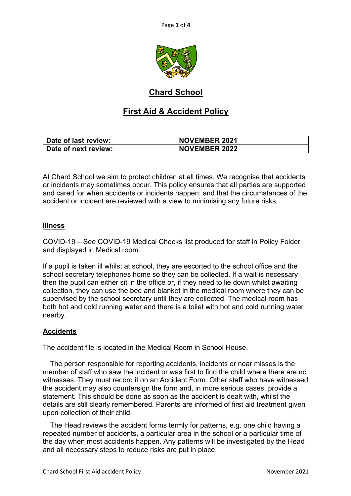

# **Chard School**

# **First Aid & Accident Policy**

| Date of last review: | <b>NOVEMBER 2021</b> |
|----------------------|----------------------|
| Date of next review: | <b>NOVEMBER 2022</b> |

At Chard School we aim to protect children at all times. We recognise that accidents or incidents may sometimes occur. This policy ensures that all parties are supported and cared for when accidents or incidents happen; and that the circumstances of the accident or incident are reviewed with a view to minimising any future risks.

## **Illness**

COVID-19 – See COVID-19 Medical Checks list produced for staff in Policy Folder and displayed in Medical room.

If a pupil is taken ill whilst at school, they are escorted to the school office and the school secretary telephones home so they can be collected. If a wait is necessary then the pupil can either sit in the office or, if they need to lie down whilst awaiting collection, they can use the bed and blanket in the medical room where they can be supervised by the school secretary until they are collected. The medical room has both hot and cold running water and there is a toilet with hot and cold running water nearby.

### **Accidents**

The accident file is located in the Medical Room in School House.

 The person responsible for reporting accidents, incidents or near misses is the member of staff who saw the incident or was first to find the child where there are no witnesses. They must record it on an Accident Form. Other staff who have witnessed the accident may also countersign the form and, in more serious cases, provide a statement. This should be done as soon as the accident is dealt with, whilst the details are still clearly remembered. Parents are informed of first aid treatment given upon collection of their child.

 The Head reviews the accident forms termly for patterns, e.g. one child having a repeated number of accidents, a particular area in the school or a particular time of the day when most accidents happen. Any patterns will be investigated by the Head and all necessary steps to reduce risks are put in place.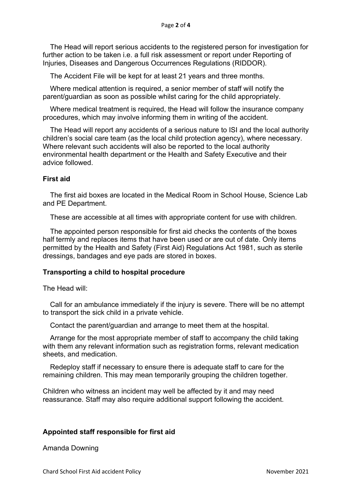The Head will report serious accidents to the registered person for investigation for further action to be taken i.e. a full risk assessment or report under Reporting of Injuries, Diseases and Dangerous Occurrences Regulations (RIDDOR).

The Accident File will be kept for at least 21 years and three months.

 Where medical attention is required, a senior member of staff will notify the parent/guardian as soon as possible whilst caring for the child appropriately.

 Where medical treatment is required, the Head will follow the insurance company procedures, which may involve informing them in writing of the accident.

 The Head will report any accidents of a serious nature to ISI and the local authority children's social care team (as the local child protection agency), where necessary. Where relevant such accidents will also be reported to the local authority environmental health department or the Health and Safety Executive and their advice followed.

#### **First aid**

 The first aid boxes are located in the Medical Room in School House, Science Lab and PE Department.

These are accessible at all times with appropriate content for use with children.

 The appointed person responsible for first aid checks the contents of the boxes half termly and replaces items that have been used or are out of date. Only items permitted by the Health and Safety (First Aid) Regulations Act 1981, such as sterile dressings, bandages and eye pads are stored in boxes.

#### **Transporting a child to hospital procedure**

The Head will:

 Call for an ambulance immediately if the injury is severe. There will be no attempt to transport the sick child in a private vehicle.

Contact the parent/guardian and arrange to meet them at the hospital.

 Arrange for the most appropriate member of staff to accompany the child taking with them any relevant information such as registration forms, relevant medication sheets, and medication.

 Redeploy staff if necessary to ensure there is adequate staff to care for the remaining children. This may mean temporarily grouping the children together.

Children who witness an incident may well be affected by it and may need reassurance. Staff may also require additional support following the accident.

#### **Appointed staff responsible for first aid**

Amanda Downing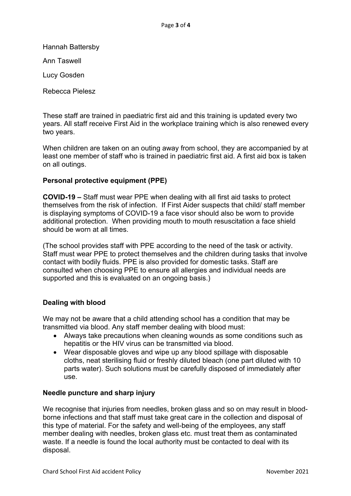Hannah Battersby

Ann Taswell

Lucy Gosden

Rebecca Pielesz

These staff are trained in paediatric first aid and this training is updated every two years. All staff receive First Aid in the workplace training which is also renewed every two years.

When children are taken on an outing away from school, they are accompanied by at least one member of staff who is trained in paediatric first aid. A first aid box is taken on all outings.

## **Personal protective equipment (PPE)**

**COVID-19 –** Staff must wear PPE when dealing with all first aid tasks to protect themselves from the risk of infection. If First Aider suspects that child/ staff member is displaying symptoms of COVID-19 a face visor should also be worn to provide additional protection. When providing mouth to mouth resuscitation a face shield should be worn at all times.

(The school provides staff with PPE according to the need of the task or activity. Staff must wear PPE to protect themselves and the children during tasks that involve contact with bodily fluids. PPE is also provided for domestic tasks. Staff are consulted when choosing PPE to ensure all allergies and individual needs are supported and this is evaluated on an ongoing basis.)

## **Dealing with blood**

We may not be aware that a child attending school has a condition that may be transmitted via blood. Any staff member dealing with blood must:

- Always take precautions when cleaning wounds as some conditions such as hepatitis or the HIV virus can be transmitted via blood.
- Wear disposable gloves and wipe up any blood spillage with disposable cloths, neat sterilising fluid or freshly diluted bleach (one part diluted with 10 parts water). Such solutions must be carefully disposed of immediately after use.

### **Needle puncture and sharp injury**

We recognise that injuries from needles, broken glass and so on may result in bloodborne infections and that staff must take great care in the collection and disposal of this type of material. For the safety and well-being of the employees, any staff member dealing with needles, broken glass etc. must treat them as contaminated waste. If a needle is found the local authority must be contacted to deal with its disposal.